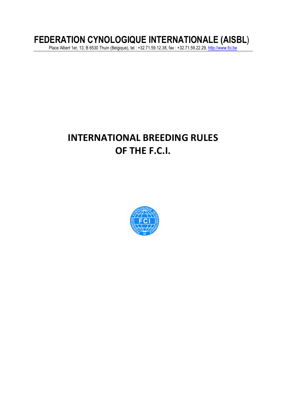# **FEDERATION CYNOLOGIQUE INTERNATIONALE (AISBL**)

Place Albert 1er, 13, B 6530 Thuin (Belgique), tel : +32.71.59.12.38, fax : +32.71.59.22.29, <u>http://www.fci.be</u>

# **INTERNATIONAL BREEDING RULES OF THE F.C.I.**

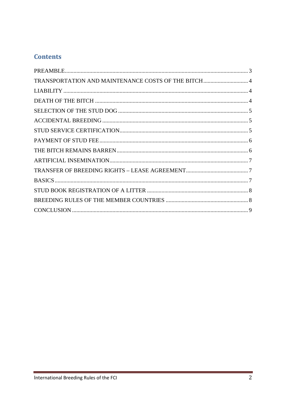# **Contents**

| TRANSPORTATION AND MAINTENANCE COSTS OF THE BITCH 4 |  |
|-----------------------------------------------------|--|
|                                                     |  |
|                                                     |  |
|                                                     |  |
|                                                     |  |
|                                                     |  |
|                                                     |  |
|                                                     |  |
|                                                     |  |
|                                                     |  |
|                                                     |  |
|                                                     |  |
|                                                     |  |
|                                                     |  |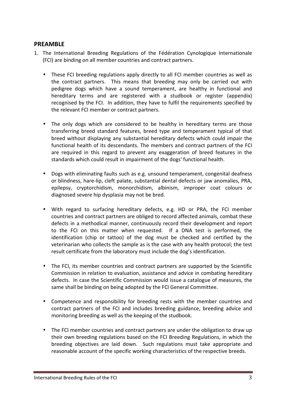### **PREAMBLE**

- 1. The International Breeding Regulations of the Fédération Cynologique Internationale (FCI) are binding on all member countries and contract partners.
	- These FCI breeding regulations apply directly to all FCI member countries as well as the contract partners. This means that breeding may only be carried out with pedigree dogs which have a sound temperament, are healthy in functional and hereditary terms and are registered with a studbook or register (appendix) recognised by the FCI. In addition, they have to fulfil the requirements specified by the relevant FCI member or contract partners.
	- The only dogs which are considered to be healthy in hereditary terms are those transferring breed standard features, breed type and temperament typical of that breed without displaying any substantial hereditary defects which could impair the functional health of its descendants. The members and contract partners of the FCI are required in this regard to prevent any exaggeration of breed features in the standards which could result in impairment of the dogs' functional health.
	- Dogs with eliminating faults such as e.g. unsound temperament, congenital deafness or blindness, hare-lip, cleft palate, substantial dental defects or jaw anomalies, PRA, epilepsy, cryptorchidism, monorchidism, albinism, improper coat colours or diagnosed severe hip dysplasia may not be bred.
	- With regard to surfacing hereditary defects, e.g. HD or PRA, the FCI member countries and contract partners are obliged to record affected animals, combat these defects in a methodical manner, continuously record their development and report to the FCI on this matter when requested. If a DNA test is performed, the identification (chip or tattoo) of the dog must be checked and certified by the veterinarian who collects the sample as is the case with any health protocol; the test result certificate from the laboratory must include the dog's identification.
	- The FCI, its member countries and contract partners are supported by the Scientific Commission in relation to evaluation, assistance and advice in combating hereditary defects. In case the Scientific Commission would issue a catalogue of measures, the same shall be binding on being adopted by the FCI General Committee.
	- Competence and responsibility for breeding rests with the member countries and contract partners of the FCI and includes breeding guidance, breeding advice and monitoring breeding as well as the keeping of the studbook.
	- The FCI member countries and contract partners are under the obligation to draw up their own breeding regulations based on the FCI Breeding Regulations, in which the breeding objectives are laid down. Such regulations must take appropriate and reasonable account of the specific working characteristics of the respective breeds.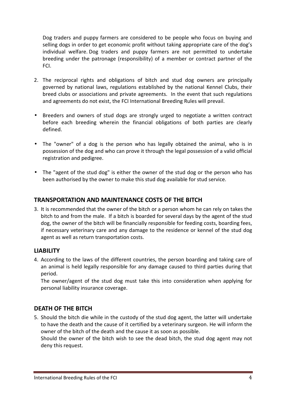Dog traders and puppy farmers are considered to be people who focus on buying and selling dogs in order to get economic profit without taking appropriate care of the dog's individual welfare. Dog traders and puppy farmers are not permitted to undertake breeding under the patronage (responsibility) of a member or contract partner of the FCI.

- 2. The reciprocal rights and obligations of bitch and stud dog owners are principally governed by national laws, regulations established by the national Kennel Clubs, their breed clubs or associations and private agreements. In the event that such regulations and agreements do not exist, the FCI International Breeding Rules will prevail.
- Breeders and owners of stud dogs are strongly urged to negotiate a written contract before each breeding wherein the financial obligations of both parties are clearly defined.
- The "owner" of a dog is the person who has legally obtained the animal, who is in possession of the dog and who can prove it through the legal possession of a valid official registration and pedigree.
- The "agent of the stud dog" is either the owner of the stud dog or the person who has been authorised by the owner to make this stud dog available for stud service.

# **TRANSPORTATION AND MAINTENANCE COSTS OF THE BITCH**

3. It is recommended that the owner of the bitch or a person whom he can rely on takes the bitch to and from the male. If a bitch is boarded for several days by the agent of the stud dog, the owner of the bitch will be financially responsible for feeding costs, boarding fees, if necessary veterinary care and any damage to the residence or kennel of the stud dog agent as well as return transportation costs.

#### **LIABILITY**

4. According to the laws of the different countries, the person boarding and taking care of an animal is held legally responsible for any damage caused to third parties during that period.

 The owner/agent of the stud dog must take this into consideration when applying for personal liability insurance coverage.

# **DEATH OF THE BITCH**

5. Should the bitch die while in the custody of the stud dog agent, the latter will undertake to have the death and the cause of it certified by a veterinary surgeon. He will inform the owner of the bitch of the death and the cause it as soon as possible.

 Should the owner of the bitch wish to see the dead bitch, the stud dog agent may not deny this request.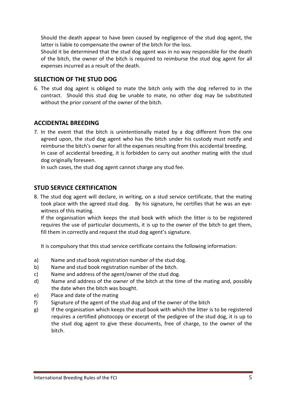Should the death appear to have been caused by negligence of the stud dog agent, the latter is liable to compensate the owner of the bitch for the loss.

 Should it be determined that the stud dog agent was in no way responsible for the death of the bitch, the owner of the bitch is required to reimburse the stud dog agent for all expenses incurred as a result of the death.

# **SELECTION OF THE STUD DOG**

6. The stud dog agent is obliged to mate the bitch only with the dog referred to in the contract. Should this stud dog be unable to mate, no other dog may be substituted without the prior consent of the owner of the bitch.

### **ACCIDENTAL BREEDING**

7. In the event that the bitch is unintentionally mated by a dog different from the one agreed upon, the stud dog agent who has the bitch under his custody must notify and reimburse the bitch's owner for all the expenses resulting from this accidental breeding. In case of accidental breeding, it is forbidden to carry out another mating with the stud dog originally foreseen.

In such cases, the stud dog agent cannot charge any stud fee.

### **STUD SERVICE CERTIFICATION**

8. The stud dog agent will declare, in writing, on a stud service certificate, that the mating took place with the agreed stud dog. By his signature, he certifies that he was an eyewitness of this mating.

 If the organisation which keeps the stud book with which the litter is to be registered requires the use of particular documents, it is up to the owner of the bitch to get them, fill them in correctly and request the stud dog agent's signature.

It is compulsory that this stud service certificate contains the following information:

- a) Name and stud book registration number of the stud dog.
- b) Name and stud book registration number of the bitch.
- c) Name and address of the agent/owner of the stud dog.
- d) Name and address of the owner of the bitch at the time of the mating and, possibly the date when the bitch was bought.
- e) Place and date of the mating
- f) Signature of the agent of the stud dog and of the owner of the bitch
- g) If the organisation which keeps the stud book with which the litter is to be registered requires a certified photocopy or excerpt of the pedigree of the stud dog, it is up to the stud dog agent to give these documents, free of charge, to the owner of the bitch.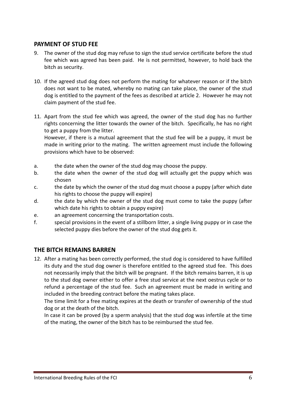## **PAYMENT OF STUD FEE**

- 9. The owner of the stud dog may refuse to sign the stud service certificate before the stud fee which was agreed has been paid. He is not permitted, however, to hold back the bitch as security.
- 10. If the agreed stud dog does not perform the mating for whatever reason or if the bitch does not want to be mated, whereby no mating can take place, the owner of the stud dog is entitled to the payment of the fees as described at article 2. However he may not claim payment of the stud fee.
- 11. Apart from the stud fee which was agreed, the owner of the stud dog has no further rights concerning the litter towards the owner of the bitch. Specifically, he has no right to get a puppy from the litter.

 However, if there is a mutual agreement that the stud fee will be a puppy, it must be made in writing prior to the mating. The written agreement must include the following provisions which have to be observed:

- a. the date when the owner of the stud dog may choose the puppy.
- b. the date when the owner of the stud dog will actually get the puppy which was chosen
- c. the date by which the owner of the stud dog must choose a puppy (after which date his rights to choose the puppy will expire)
- d. the date by which the owner of the stud dog must come to take the puppy (after which date his rights to obtain a puppy expire)
- e. an agreement concerning the transportation costs.
- f. special provisions in the event of a stillborn litter, a single living puppy or in case the selected puppy dies before the owner of the stud dog gets it.

#### **THE BITCH REMAINS BARREN**

12. After a mating has been correctly performed, the stud dog is considered to have fulfilled its duty and the stud dog owner is therefore entitled to the agreed stud fee. This does not necessarily imply that the bitch will be pregnant. If the bitch remains barren, it is up to the stud dog owner either to offer a free stud service at the next oestrus cycle or to refund a percentage of the stud fee. Such an agreement must be made in writing and included in the breeding contract before the mating takes place.

 The time limit for a free mating expires at the death or transfer of ownership of the stud dog or at the death of the bitch.

 In case it can be proved (by a sperm analysis) that the stud dog was infertile at the time of the mating, the owner of the bitch has to be reimbursed the stud fee.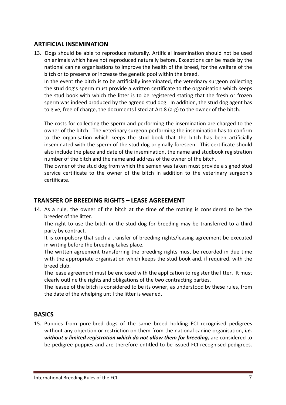## **ARTIFICIAL INSEMINATION**

13. Dogs should be able to reproduce naturally. Artificial insemination should not be used on animals which have not reproduced naturally before. Exceptions can be made by the national canine organisations to improve the health of the breed, for the welfare of the bitch or to preserve or increase the genetic pool within the breed.

In the event the bitch is to be artificially inseminated, the veterinary surgeon collecting the stud dog's sperm must provide a written certificate to the organisation which keeps the stud book with which the litter is to be registered stating that the fresh or frozen sperm was indeed produced by the agreed stud dog. In addition, the stud dog agent has to give, free of charge, the documents listed at Art.8 (a-g) to the owner of the bitch.

The costs for collecting the sperm and performing the insemination are charged to the owner of the bitch. The veterinary surgeon performing the insemination has to confirm to the organisation which keeps the stud book that the bitch has been artificially inseminated with the sperm of the stud dog originally foreseen. This certificate should also include the place and date of the insemination, the name and studbook registration number of the bitch and the name and address of the owner of the bitch.

 The owner of the stud dog from which the semen was taken must provide a signed stud service certificate to the owner of the bitch in addition to the veterinary surgeon's certificate.

#### **TRANSFER OF BREEDING RIGHTS – LEASE AGREEMENT**

14. As a rule, the owner of the bitch at the time of the mating is considered to be the breeder of the litter.

The right to use the bitch or the stud dog for breeding may be transferred to a third party by contract.

 It is compulsory that such a transfer of breeding rights/leasing agreement be executed in writing before the breeding takes place.

 The written agreement transferring the breeding rights must be recorded in due time with the appropriate organisation which keeps the stud book and, if required, with the breed club.

 The lease agreement must be enclosed with the application to register the litter. It must clearly outline the rights and obligations of the two contracting parties.

 The leasee of the bitch is considered to be its owner, as understood by these rules, from the date of the whelping until the litter is weaned.

#### **BASICS**

15. Puppies from pure-bred dogs of the same breed holding FCI recognised pedigrees without any objection or restriction on them from the national canine organisation, *i.e. without a limited registration which do not allow them for breeding,* are considered to be pedigree puppies and are therefore entitled to be issued FCI recognised pedigrees.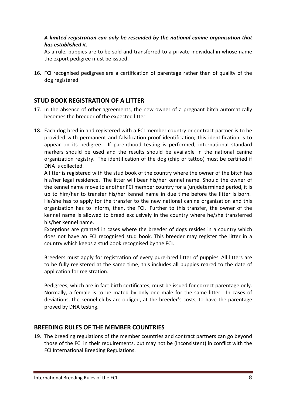#### *A limited registration can only be rescinded by the national canine organisation that has established it.*

As a rule, puppies are to be sold and transferred to a private individual in whose name the export pedigree must be issued.

16. FCI recognised pedigrees are a certification of parentage rather than of quality of the dog registered

## **STUD BOOK REGISTRATION OF A LITTER**

- 17. In the absence of other agreements, the new owner of a pregnant bitch automatically becomes the breeder of the expected litter.
- 18. Each dog bred in and registered with a FCI member country or contract partner is to be provided with permanent and falsification-proof identification; this identification is to appear on its pedigree. If parenthood testing is performed, international standard markers should be used and the results should be available in the national canine organization registry. The identification of the dog (chip or tattoo) must be certified if DNA is collected.

A litter is registered with the stud book of the country where the owner of the bitch has his/her legal residence. The litter will bear his/her kennel name. Should the owner of the kennel name move to another FCI member country for a (un)determined period, it is up to him/her to transfer his/her kennel name in due time before the litter is born. He/she has to apply for the transfer to the new national canine organization and this organization has to inform, then, the FCI. Further to this transfer, the owner of the kennel name is allowed to breed exclusively in the country where he/she transferred his/her kennel name.

Exceptions are granted in cases where the breeder of dogs resides in a country which does not have an FCI recognised stud book. This breeder may register the litter in a country which keeps a stud book recognised by the FCI.

 Breeders must apply for registration of every pure-bred litter of puppies. All litters are to be fully registered at the same time; this includes all puppies reared to the date of application for registration.

Pedigrees, which are in fact birth certificates, must be issued for correct parentage only. Normally, a female is to be mated by only one male for the same litter. In cases of deviations, the kennel clubs are obliged, at the breeder's costs, to have the parentage proved by DNA testing.

#### **BREEDING RULES OF THE MEMBER COUNTRIES**

19. The breeding regulations of the member countries and contract partners can go beyond those of the FCI in their requirements, but may not be (inconsistent) in conflict with the FCI International Breeding Regulations.